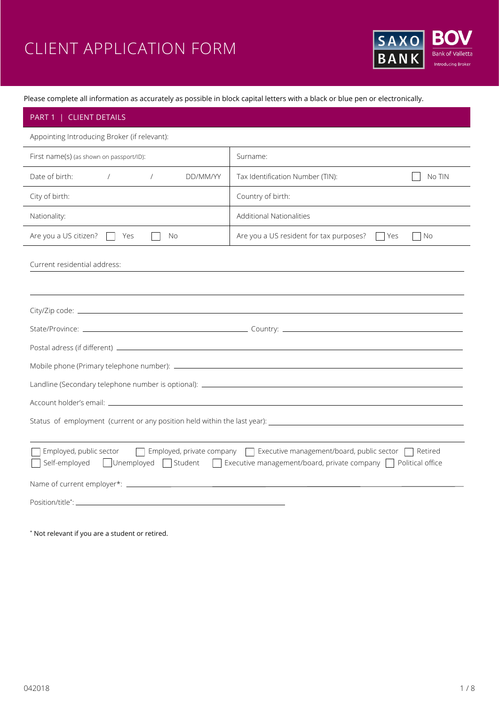# CLIENT APPLICATION FORM



Please complete all information as accurately as possible in block capital letters with a black or blue pen or electronically.

| PART 1   CLIENT DETAILS                                                                                                                                                                                                  |                                                          |  |
|--------------------------------------------------------------------------------------------------------------------------------------------------------------------------------------------------------------------------|----------------------------------------------------------|--|
| Appointing Introducing Broker (if relevant):                                                                                                                                                                             |                                                          |  |
| First name(s) (as shown on passport/ID):                                                                                                                                                                                 | Surname:                                                 |  |
| Date of birth:<br>DD/MM/YY<br>$\sqrt{2}$                                                                                                                                                                                 | Tax Identification Number (TIN):<br>No TIN               |  |
| City of birth:                                                                                                                                                                                                           | Country of birth:                                        |  |
| Nationality:                                                                                                                                                                                                             | <b>Additional Nationalities</b>                          |  |
| Are you a US citizen?<br>Yes<br>No<br>$\mathbf{L}$                                                                                                                                                                       | Are you a US resident for tax purposes?<br>l Yes<br>  No |  |
| Current residential address:                                                                                                                                                                                             |                                                          |  |
|                                                                                                                                                                                                                          |                                                          |  |
|                                                                                                                                                                                                                          |                                                          |  |
|                                                                                                                                                                                                                          |                                                          |  |
|                                                                                                                                                                                                                          |                                                          |  |
|                                                                                                                                                                                                                          |                                                          |  |
| Status of employment (current or any position held within the last year): The manufacture of employment (current or any position held within the last year):                                                             |                                                          |  |
| Employed, public sector<br>Employed, private company   Executive management/board, public sector  <br>l Retired<br>□ Unemployed Student Executive management/board, private company DP Political office<br>Self-employed |                                                          |  |
|                                                                                                                                                                                                                          |                                                          |  |
|                                                                                                                                                                                                                          |                                                          |  |
|                                                                                                                                                                                                                          |                                                          |  |

\* Not relevant if you are a student or retired.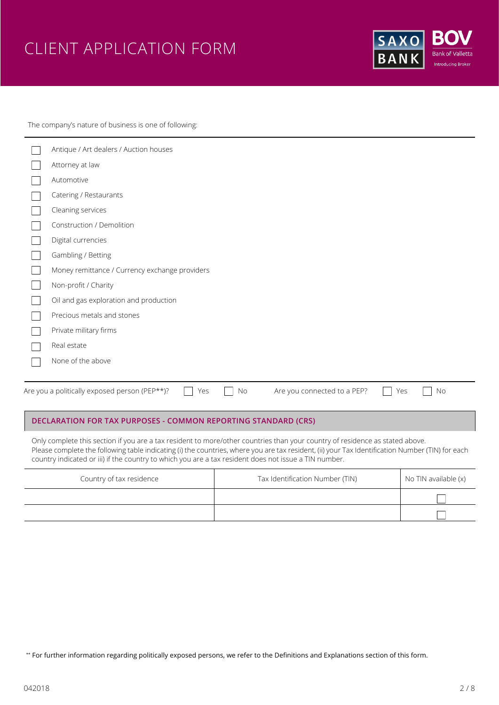# CLIENT APPLICATION FORM



The company's nature of business is one of following:

| Antique / Art dealers / Auction houses                                                                        |
|---------------------------------------------------------------------------------------------------------------|
| Attorney at law                                                                                               |
| Automotive                                                                                                    |
| Catering / Restaurants                                                                                        |
| Cleaning services                                                                                             |
| Construction / Demolition                                                                                     |
| Digital currencies                                                                                            |
| Gambling / Betting                                                                                            |
| Money remittance / Currency exchange providers                                                                |
| Non-profit / Charity                                                                                          |
| Oil and gas exploration and production                                                                        |
| Precious metals and stones                                                                                    |
| Private military firms                                                                                        |
| Real estate                                                                                                   |
| None of the above                                                                                             |
|                                                                                                               |
| Are you a politically exposed person (PEP**)?<br>Are you connected to a PEP?<br><b>No</b><br>Yes<br>No<br>Yes |

# **DECLARATION FOR TAX PURPOSES - COMMON REPORTING STANDARD (CRS)**

Only complete this section if you are a tax resident to more/other countries than your country of residence as stated above. Please complete the following table indicating (i) the countries, where you are tax resident, (ii) your Tax Identification Number (TIN) for each country indicated or iii) if the country to which you are a tax resident does not issue a TIN number.

| Country of tax residence | Tax Identification Number (TIN) | No TIN available (x) |
|--------------------------|---------------------------------|----------------------|
|                          |                                 |                      |
|                          |                                 |                      |

\*\* For further information regarding politically exposed persons, we refer to the Definitions and Explanations section of this form.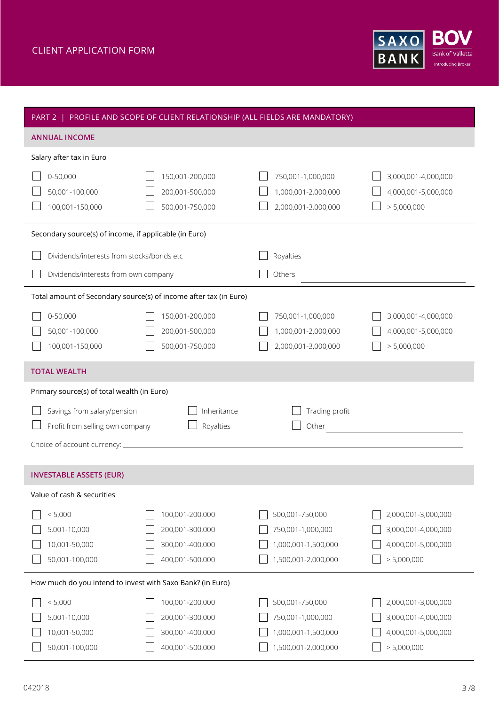

| PART 2   PROFILE AND SCOPE OF CLIENT RELATIONSHIP (ALL FIELDS ARE MANDATORY) |                                                                          |                                                                                    |                                                                                  |
|------------------------------------------------------------------------------|--------------------------------------------------------------------------|------------------------------------------------------------------------------------|----------------------------------------------------------------------------------|
| <b>ANNUAL INCOME</b>                                                         |                                                                          |                                                                                    |                                                                                  |
| Salary after tax in Euro                                                     |                                                                          |                                                                                    |                                                                                  |
| 0-50,000<br>50,001-100,000<br>100,001-150,000                                | 150,001-200,000<br>200,001-500,000<br>500,001-750,000                    | 750,001-1,000,000<br>1,000,001-2,000,000<br>2,000,001-3,000,000                    | 3,000,001-4,000,000<br>4,000,001-5,000,000<br>> 5,000,000                        |
| Secondary source(s) of income, if applicable (in Euro)                       |                                                                          |                                                                                    |                                                                                  |
| Dividends/interests from stocks/bonds etc                                    |                                                                          | Royalties                                                                          |                                                                                  |
| Dividends/interests from own company                                         |                                                                          | Others                                                                             |                                                                                  |
| Total amount of Secondary source(s) of income after tax (in Euro)            |                                                                          |                                                                                    |                                                                                  |
| 0-50,000<br>50,001-100,000<br>100,001-150,000                                | 150,001-200,000<br>200,001-500,000<br>500,001-750,000                    | 750,001-1,000,000<br>1,000,001-2,000,000<br>2,000,001-3,000,000                    | 3,000,001-4,000,000<br>4,000,001-5,000,000<br>> 5,000,000                        |
| <b>TOTAL WEALTH</b>                                                          |                                                                          |                                                                                    |                                                                                  |
|                                                                              |                                                                          |                                                                                    |                                                                                  |
| Primary source(s) of total wealth (in Euro)                                  |                                                                          |                                                                                    |                                                                                  |
| Savings from salary/pension<br>Profit from selling own company               | Inheritance<br>Royalties                                                 | Trading profit<br>Other                                                            | <u>and the state of the state of the state</u>                                   |
| <b>INVESTABLE ASSETS (EUR)</b>                                               |                                                                          |                                                                                    |                                                                                  |
| Value of cash & securities                                                   |                                                                          |                                                                                    |                                                                                  |
| < 5,000<br>5,001-10,000<br>10,001-50,000<br>50,001-100,000                   | 100,001-200,000<br>200,001-300,000<br>300,001-400,000<br>400,001-500,000 | 500,001-750,000<br>750,001-1,000,000<br>1,000,001-1,500,000<br>1,500,001-2,000,000 | 2,000,001-3,000,000<br>3,000,001-4,000,000<br>4,000,001-5,000,000<br>> 5,000,000 |
| How much do you intend to invest with Saxo Bank? (in Euro)                   |                                                                          |                                                                                    |                                                                                  |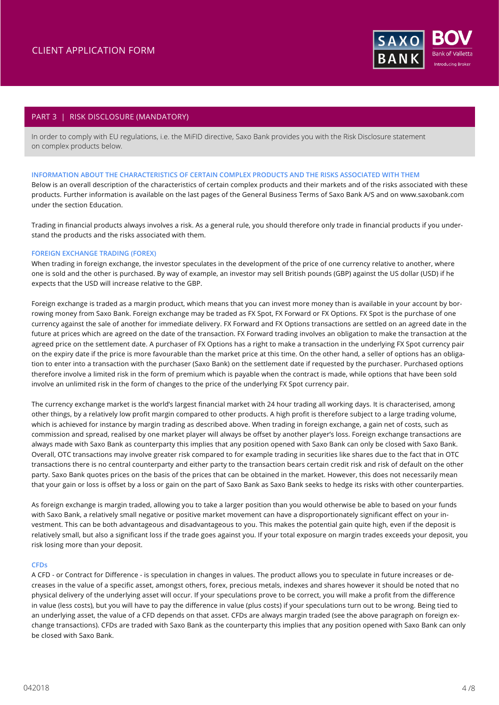

# PART 3 | RISK DISCLOSURE (MANDATORY)

In order to comply with EU regulations, i.e. the MiFID directive, Saxo Bank provides you with the Risk Disclosure statement on complex products below.

## **INFORMATION ABOUT THE CHARACTERISTICS OF CERTAIN COMPLEX PRODUCTS AND THE RISKS ASSOCIATED WITH THEM**

Below is an overall description of the characteristics of certain complex products and their markets and of the risks associated with these products. Further information is available on the last pages of the General Business Terms of Saxo Bank A/S and on www.saxobank.com under the section Education.

Trading in financial products always involves a risk. As a general rule, you should therefore only trade in financial products if you understand the products and the risks associated with them.

## **FOREIGN EXCHANGE TRADING (FOREX)**

When trading in foreign exchange, the investor speculates in the development of the price of one currency relative to another, where one is sold and the other is purchased. By way of example, an investor may sell British pounds (GBP) against the US dollar (USD) if he expects that the USD will increase relative to the GBP.

Foreign exchange is traded as a margin product, which means that you can invest more money than is available in your account by borrowing money from Saxo Bank. Foreign exchange may be traded as FX Spot, FX Forward or FX Options. FX Spot is the purchase of one currency against the sale of another for immediate delivery. FX Forward and FX Options transactions are settled on an agreed date in the future at prices which are agreed on the date of the transaction. FX Forward trading involves an obligation to make the transaction at the agreed price on the settlement date. A purchaser of FX Options has a right to make a transaction in the underlying FX Spot currency pair on the expiry date if the price is more favourable than the market price at this time. On the other hand, a seller of options has an obligation to enter into a transaction with the purchaser (Saxo Bank) on the settlement date if requested by the purchaser. Purchased options therefore involve a limited risk in the form of premium which is payable when the contract is made, while options that have been sold involve an unlimited risk in the form of changes to the price of the underlying FX Spot currency pair.

The currency exchange market is the world's largest financial market with 24 hour trading all working days. It is characterised, among other things, by a relatively low profit margin compared to other products. A high profit is therefore subject to a large trading volume, which is achieved for instance by margin trading as described above. When trading in foreign exchange, a gain net of costs, such as commission and spread, realised by one market player will always be offset by another player's loss. Foreign exchange transactions are always made with Saxo Bank as counterparty this implies that any position opened with Saxo Bank can only be closed with Saxo Bank. Overall, OTC transactions may involve greater risk compared to for example trading in securities like shares due to the fact that in OTC transactions there is no central counterparty and either party to the transaction bears certain credit risk and risk of default on the other party. Saxo Bank quotes prices on the basis of the prices that can be obtained in the market. However, this does not necessarily mean that your gain or loss is offset by a loss or gain on the part of Saxo Bank as Saxo Bank seeks to hedge its risks with other counterparties.

As foreign exchange is margin traded, allowing you to take a larger position than you would otherwise be able to based on your funds with Saxo Bank, a relatively small negative or positive market movement can have a disproportionately significant effect on your investment. This can be both advantageous and disadvantageous to you. This makes the potential gain quite high, even if the deposit is relatively small, but also a significant loss if the trade goes against you. If your total exposure on margin trades exceeds your deposit, you risk losing more than your deposit.

#### **CFDs**

A CFD - or Contract for Difference - is speculation in changes in values. The product allows you to speculate in future increases or decreases in the value of a specific asset, amongst others, forex, precious metals, indexes and shares however it should be noted that no physical delivery of the underlying asset will occur. If your speculations prove to be correct, you will make a profit from the difference in value (less costs), but you will have to pay the difference in value (plus costs) if your speculations turn out to be wrong. Being tied to an underlying asset, the value of a CFD depends on that asset. CFDs are always margin traded (see the above paragraph on foreign exchange transactions). CFDs are traded with Saxo Bank as the counterparty this implies that any position opened with Saxo Bank can only be closed with Saxo Bank.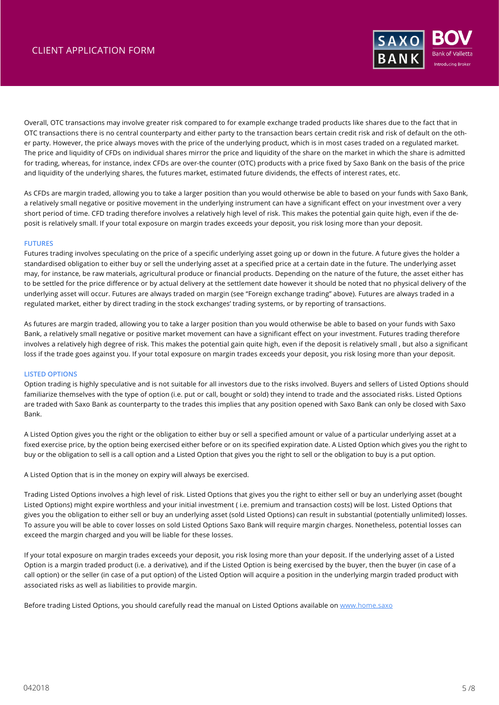

Overall, OTC transactions may involve greater risk compared to for example exchange traded products like shares due to the fact that in OTC transactions there is no central counterparty and either party to the transaction bears certain credit risk and risk of default on the other party. However, the price always moves with the price of the underlying product, which is in most cases traded on a regulated market. The price and liquidity of CFDs on individual shares mirror the price and liquidity of the share on the market in which the share is admitted for trading, whereas, for instance, index CFDs are over-the counter (OTC) products with a price fixed by Saxo Bank on the basis of the price and liquidity of the underlying shares, the futures market, estimated future dividends, the effects of interest rates, etc.

As CFDs are margin traded, allowing you to take a larger position than you would otherwise be able to based on your funds with Saxo Bank, a relatively small negative or positive movement in the underlying instrument can have a significant effect on your investment over a very short period of time. CFD trading therefore involves a relatively high level of risk. This makes the potential gain quite high, even if the deposit is relatively small. If your total exposure on margin trades exceeds your deposit, you risk losing more than your deposit.

## **FUTURES**

Futures trading involves speculating on the price of a specific underlying asset going up or down in the future. A future gives the holder a standardised obligation to either buy or sell the underlying asset at a specified price at a certain date in the future. The underlying asset may, for instance, be raw materials, agricultural produce or financial products. Depending on the nature of the future, the asset either has to be settled for the price difference or by actual delivery at the settlement date however it should be noted that no physical delivery of the underlying asset will occur. Futures are always traded on margin (see "Foreign exchange trading" above). Futures are always traded in a regulated market, either by direct trading in the stock exchanges' trading systems, or by reporting of transactions.

As futures are margin traded, allowing you to take a larger position than you would otherwise be able to based on your funds with Saxo Bank, a relatively small negative or positive market movement can have a significant effect on your investment. Futures trading therefore involves a relatively high degree of risk. This makes the potential gain quite high, even if the deposit is relatively small , but also a significant loss if the trade goes against you. If your total exposure on margin trades exceeds your deposit, you risk losing more than your deposit.

# **LISTED OPTIONS**

Option trading is highly speculative and is not suitable for all investors due to the risks involved. Buyers and sellers of Listed Options should familiarize themselves with the type of option (i.e. put or call, bought or sold) they intend to trade and the associated risks. Listed Options are traded with Saxo Bank as counterparty to the trades this implies that any position opened with Saxo Bank can only be closed with Saxo Bank.

A Listed Option gives you the right or the obligation to either buy or sell a specified amount or value of a particular underlying asset at a fixed exercise price, by the option being exercised either before or on its specified expiration date. A Listed Option which gives you the right to buy or the obligation to sell is a call option and a Listed Option that gives you the right to sell or the obligation to buy is a put option.

A Listed Option that is in the money on expiry will always be exercised.

Trading Listed Options involves a high level of risk. Listed Options that gives you the right to either sell or buy an underlying asset (bought Listed Options) might expire worthless and your initial investment ( i.e. premium and transaction costs) will be lost. Listed Options that gives you the obligation to either sell or buy an underlying asset (sold Listed Options) can result in substantial (potentially unlimited) losses. To assure you will be able to cover losses on sold Listed Options Saxo Bank will require margin charges. Nonetheless, potential losses can exceed the margin charged and you will be liable for these losses.

If your total exposure on margin trades exceeds your deposit, you risk losing more than your deposit. If the underlying asset of a Listed Option is a margin traded product (i.e. a derivative), and if the Listed Option is being exercised by the buyer, then the buyer (in case of a call option) or the seller (in case of a put option) of the Listed Option will acquire a position in the underlying margin traded product with associated risks as well as liabilities to provide margin.

Before trading Listed Options, you should carefully read the manual on Listed Options available on [www.home.saxo](http://www.home.saxo)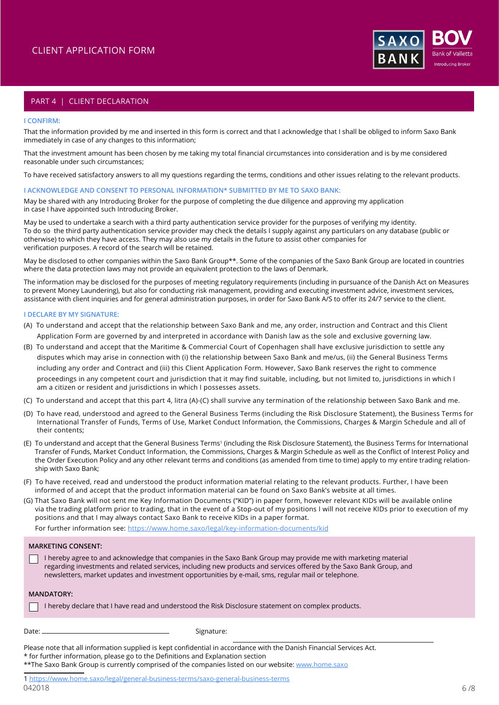

# PART 4 | CLIENT DECLARATION

#### **I CONFIRM:**

That the information provided by me and inserted in this form is correct and that I acknowledge that I shall be obliged to inform Saxo Bank immediately in case of any changes to this information;

That the investment amount has been chosen by me taking my total financial circumstances into consideration and is by me considered reasonable under such circumstances;

To have received satisfactory answers to all my questions regarding the terms, conditions and other issues relating to the relevant products.

#### **I ACKNOWLEDGE AND CONSENT TO PERSONAL INFORMATION\* SUBMITTED BY ME TO SAXO BANK:**

May be shared with any Introducing Broker for the purpose of completing the due diligence and approving my application in case I have appointed such Introducing Broker.

May be used to undertake a search with a third party authentication service provider for the purposes of verifying my identity. To do so the third party authentication service provider may check the details I supply against any particulars on any database (public or otherwise) to which they have access. They may also use my details in the future to assist other companies for verification purposes. A record of the search will be retained.

May be disclosed to other companies within the Saxo Bank Group\*\*. Some of the companies of the Saxo Bank Group are located in countries where the data protection laws may not provide an equivalent protection to the laws of Denmark.

The information may be disclosed for the purposes of meeting regulatory requirements (including in pursuance of the Danish Act on Measures to prevent Money Laundering), but also for conducting risk management, providing and executing investment advice, investment services, assistance with client inquiries and for general administration purposes, in order for Saxo Bank A/S to offer its 24/7 service to the client.

### **I DECLARE BY MY SIGNATURE:**

- (A) To understand and accept that the relationship between Saxo Bank and me, any order, instruction and Contract and this Client Application Form are governed by and interpreted in accordance with Danish law as the sole and exclusive governing law.
- (B) To understand and accept that the Maritime & Commercial Court of Copenhagen shall have exclusive jurisdiction to settle any disputes which may arise in connection with (i) the relationship between Saxo Bank and me/us, (ii) the General Business Terms including any order and Contract and (iii) this Client Application Form. However, Saxo Bank reserves the right to commence proceedings in any competent court and jurisdiction that it may find suitable, including, but not limited to, jurisdictions in which I am a citizen or resident and jurisdictions in which I possesses assets.
- (C) To understand and accept that this part 4, litra (A)-(C) shall survive any termination of the relationship between Saxo Bank and me.
- (D) To have read, understood and agreed to the General Business Terms (including the Risk Disclosure Statement), the Business Terms for International Transfer of Funds, Terms of Use, Market Conduct Information, the Commissions, Charges & Margin Schedule and all of their contents;
- (E) To understand and accept that the General Business Terms<sup>1</sup> (including the Risk Disclosure Statement), the Business Terms for International Transfer of Funds, Market Conduct Information, the Commissions, Charges & Margin Schedule as well as the Conflict of Interest Policy and the Order Execution Policy and any other relevant terms and conditions (as amended from time to time) apply to my entire trading relationship with Saxo Bank;
- (F) To have received, read and understood the product information material relating to the relevant products. Further, I have been informed of and accept that the product information material can be found on Saxo Bank's website at all times.
- (G) That Saxo Bank will not sent me Key Information Documents ("KID") in paper form, however relevant KIDs will be available online via the trading platform prior to trading, that in the event of a Stop-out of my positions I will not receive KIDs prior to execution of my positions and that I may always contact Saxo Bank to receive KIDs in a paper format.

For further information see: https://www.home.saxo/legal/key-information-documents/kid

# **MARKETING CONSENT:**

I hereby agree to and acknowledge that companies in the Saxo Bank Group may provide me with marketing material regarding investments and related services, including new products and services offered by the Saxo Bank Group, and newsletters, market updates and investment opportunities by e-mail, sms, regular mail or telephone.

## **MANDATORY:**

|  |  |  | 1 I hereby declare that I have read and understood the Risk Disclosure statement on complex products. |
|--|--|--|-------------------------------------------------------------------------------------------------------|
|--|--|--|-------------------------------------------------------------------------------------------------------|

Signature:

Please note that all information supplied is kept confidential in accordance with the Danish Financial Services Act. \* for further information, please go to the Definitions and Explanation section \*\*The Saxo Bank Group is currently comprised of the companies listed on our website: [www.home.saxo](http://www.home.saxo)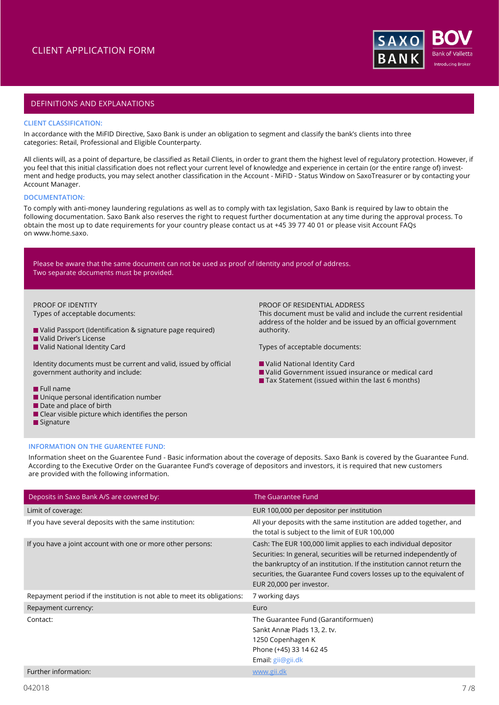

# DEFINITIONS AND EXPLANATIONS

## **CLIENT CLASSIFICATION:**

In accordance with the MiFID Directive, Saxo Bank is under an obligation to segment and classify the bank's clients into three categories: Retail, Professional and Eligible Counterparty.

All clients will, as a point of departure, be classified as Retail Clients, in order to grant them the highest level of regulatory protection. However, if you feel that this initial classification does not reflect your current level of knowledge and experience in certain (or the entire range of) investment and hedge products, you may select another classification in the Account - MiFID - Status Window on SaxoTreasurer or by contacting your Account Manager.

#### **DOCUMENTATION:**

To comply with anti-money laundering regulations as well as to comply with tax legislation, Saxo Bank is required by law to obtain the following documentation. Saxo Bank also reserves the right to request further documentation at any time during the approval process. To obtain the most up to date requirements for your country please contact us at +45 39 77 40 01 or please visit Account FAQs on [www.home.saxo](http://www.home.saxo).

Please be aware that the same document can not be used as proof of identity and proof of address. Two separate documents must be provided.

#### PROOF OF IDENTITY Types of acceptable documents:

- Valid Passport (Identification & signature page required)
- **N** Valid Driver's License
- Valid National Identity Card

Identity documents must be current and valid, issued by official government authority and include:

# **Full name**

- **Unique personal identification number**
- Date and place of birth
- $\blacksquare$  Clear visible picture which identifies the person
- Signature

PROOF OF RESIDENTIAL ADDRESS

This document must be valid and include the current residential address of the holder and be issued by an official government authority.

Types of acceptable documents:

- Valid National Identity Card
- Valid Government issued insurance or medical card
- Tax Statement (issued within the last 6 months)

#### **INFORMATION ON THE GUARENTEE FUND:**

Information sheet on the Guarentee Fund - Basic information about the coverage of deposits. Saxo Bank is covered by the Guarantee Fund. According to the Executive Order on the Guarantee Fund's coverage of depositors and investors, it is required that new customers are provided with the following information.

| Deposits in Saxo Bank A/S are covered by:                                | The Guarantee Fund                                                                                                                                                                                                                                                                                                     |
|--------------------------------------------------------------------------|------------------------------------------------------------------------------------------------------------------------------------------------------------------------------------------------------------------------------------------------------------------------------------------------------------------------|
| Limit of coverage:                                                       | EUR 100,000 per depositor per institution                                                                                                                                                                                                                                                                              |
| If you have several deposits with the same institution:                  | All your deposits with the same institution are added together, and<br>the total is subject to the limit of EUR 100,000                                                                                                                                                                                                |
| If you have a joint account with one or more other persons:              | Cash: The EUR 100,000 limit applies to each individual depositor<br>Securities: In general, securities will be returned independently of<br>the bankruptcy of an institution. If the institution cannot return the<br>securities, the Guarantee Fund covers losses up to the equivalent of<br>EUR 20,000 per investor. |
| Repayment period if the institution is not able to meet its obligations: | 7 working days                                                                                                                                                                                                                                                                                                         |
| Repayment currency:                                                      | Euro                                                                                                                                                                                                                                                                                                                   |
| Contact:                                                                 | The Guarantee Fund (Garantiformuen)<br>Sankt Annæ Plads 13, 2. tv.<br>1250 Copenhagen K<br>Phone (+45) 33 14 62 45<br>Email: gij@gii.dk                                                                                                                                                                                |
| Further information:                                                     | www.gii.dk                                                                                                                                                                                                                                                                                                             |